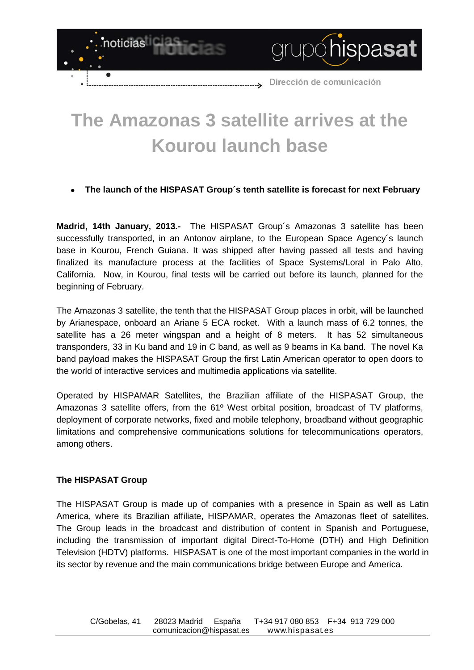

## **The Amazonas 3 satellite arrives at the Kourou launch base**

## **The launch of the HISPASAT Group´s tenth satellite is forecast for next February**

**Madrid, 14th January, 2013.-** The HISPASAT Group´s Amazonas 3 satellite has been successfully transported, in an Antonov airplane, to the European Space Agency´s launch base in Kourou, French Guiana. It was shipped after having passed all tests and having finalized its manufacture process at the facilities of Space Systems/Loral in Palo Alto, California. Now, in Kourou, final tests will be carried out before its launch, planned for the beginning of February.

The Amazonas 3 satellite, the tenth that the HISPASAT Group places in orbit, will be launched by Arianespace, onboard an Ariane 5 ECA rocket. With a launch mass of 6.2 tonnes, the satellite has a 26 meter wingspan and a height of 8 meters. It has 52 simultaneous transponders, 33 in Ku band and 19 in C band, as well as 9 beams in Ka band. The novel Ka band payload makes the HISPASAT Group the first Latin American operator to open doors to the world of interactive services and multimedia applications via satellite.

Operated by HISPAMAR Satellites, the Brazilian affiliate of the HISPASAT Group, the Amazonas 3 satellite offers, from the 61º West orbital position, broadcast of TV platforms, deployment of corporate networks, fixed and mobile telephony, broadband without geographic limitations and comprehensive communications solutions for telecommunications operators, among others.

## **The HISPASAT Group**

The HISPASAT Group is made up of companies with a presence in Spain as well as Latin America, where its Brazilian affiliate, HISPAMAR, operates the Amazonas fleet of satellites. The Group leads in the broadcast and distribution of content in Spanish and Portuguese, including the transmission of important digital Direct-To-Home (DTH) and High Definition Television (HDTV) platforms. HISPASAT is one of the most important companies in the world in its sector by revenue and the main communications bridge between Europe and America.